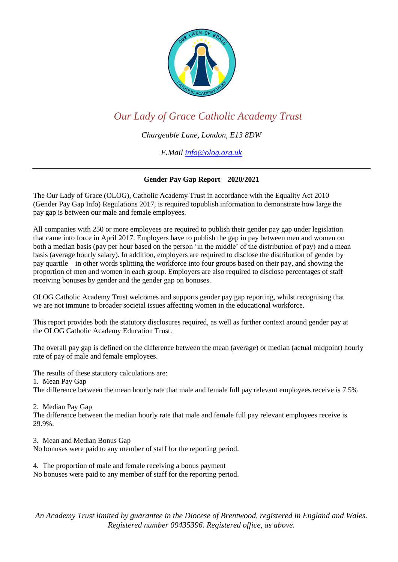

## *Our Lady of Grace Catholic Academy Trust*

*Chargeable Lane, London, E13 8DW* 

*E.Mail info@olog.org.uk*

## **Gender Pay Gap Report – 2020/2021**

The Our Lady of Grace (OLOG), Catholic Academy Trust in accordance with the Equality Act 2010 (Gender Pay Gap Info) Regulations 2017, is required topublish information to demonstrate how large the pay gap is between our male and female employees.

All companies with 250 or more employees are required to publish their gender pay gap under legislation that came into force in April 2017. Employers have to publish the gap in pay between men and women on both a median basis (pay per hour based on the person 'in the middle' of the distribution of pay) and a mean basis (average hourly salary). In addition, employers are required to disclose the distribution of gender by pay quartile – in other words splitting the workforce into four groups based on their pay, and showing the proportion of men and women in each group. Employers are also required to disclose percentages of staff receiving bonuses by gender and the gender gap on bonuses.

OLOG Catholic Academy Trust welcomes and supports gender pay gap reporting, whilst recognising that we are not immune to broader societal issues affecting women in the educational workforce.

This report provides both the statutory disclosures required, as well as further context around gender pay at the OLOG Catholic Academy Education Trust.

The overall pay gap is defined on the difference between the mean (average) or median (actual midpoint) hourly rate of pay of male and female employees.

The results of these statutory calculations are:

1. Mean Pay Gap

The difference between the mean hourly rate that male and female full pay relevant employees receive is 7.5%

2. Median Pay Gap

The difference between the median hourly rate that male and female full pay relevant employees receive is 29.9%.

3. Mean and Median Bonus Gap

No bonuses were paid to any member of staff for the reporting period.

4. The proportion of male and female receiving a bonus payment

No bonuses were paid to any member of staff for the reporting period.

*An Academy Trust limited by guarantee in the Diocese of Brentwood, registered in England and Wales. Registered number 09435396. Registered office, as above.*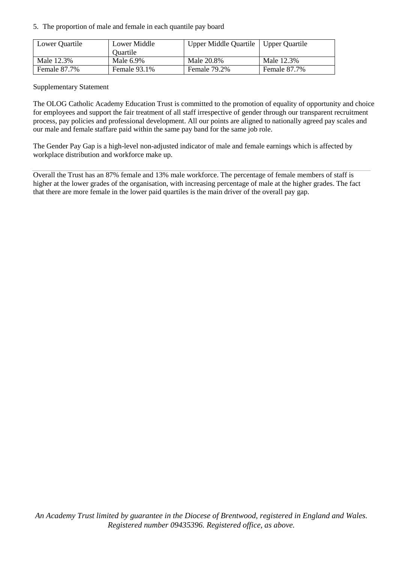5. The proportion of male and female in each quantile pay board

| Lower Quartile | Lower Middle    | <b>Upper Middle Quartile</b> | Upper Quartile |
|----------------|-----------------|------------------------------|----------------|
|                | <b>Ouartile</b> |                              |                |
| Male 12.3%     | Male 6.9%       | Male 20.8%                   | Male 12.3%     |
| Female 87.7%   | Female 93.1%    | Female 79.2%                 | Female 87.7%   |

Supplementary Statement

The OLOG Catholic Academy Education Trust is committed to the promotion of equality of opportunity and choice for employees and support the fair treatment of all staff irrespective of gender through our transparent recruitment process, pay policies and professional development. All our points are aligned to nationally agreed pay scales and our male and female staffare paid within the same pay band for the same job role.

The Gender Pay Gap is a high-level non-adjusted indicator of male and female earnings which is affected by workplace distribution and workforce make up.

Overall the Trust has an 87% female and 13% male workforce. The percentage of female members of staff is higher at the lower grades of the organisation, with increasing percentage of male at the higher grades. The fact that there are more female in the lower paid quartiles is the main driver of the overall pay gap.